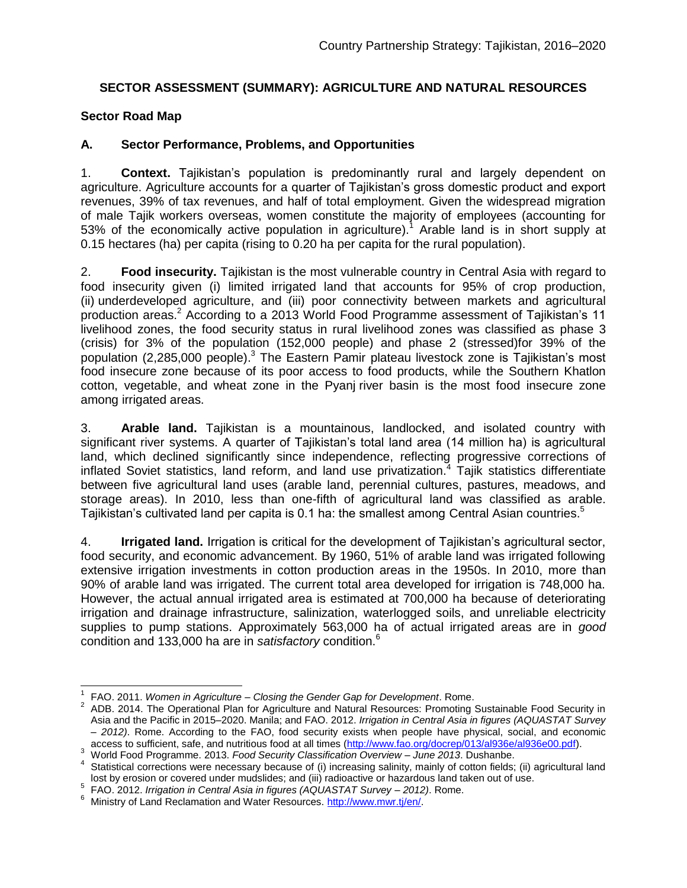# **SECTOR ASSESSMENT (SUMMARY): AGRICULTURE AND NATURAL RESOURCES**

### **Sector Road Map**

# **A. Sector Performance, Problems, and Opportunities**

1. **Context.** Tajikistan's population is predominantly rural and largely dependent on agriculture. Agriculture accounts for a quarter of Tajikistan's gross domestic product and export revenues, 39% of tax revenues, and half of total employment. Given the widespread migration of male Tajik workers overseas, women constitute the majority of employees (accounting for 53% of the economically active population in agriculture).<sup>1</sup> Arable land is in short supply at 0.15 hectares (ha) per capita (rising to 0.20 ha per capita for the rural population).

2. **Food insecurity.** Tajikistan is the most vulnerable country in Central Asia with regard to food insecurity given (i) limited irrigated land that accounts for 95% of crop production, (ii) underdeveloped agriculture, and (iii) poor connectivity between markets and agricultural production areas.<sup>2</sup> According to a 2013 World Food Programme assessment of Tajikistan's 11 livelihood zones, the food security status in rural livelihood zones was classified as phase 3 (crisis) for 3% of the population (152,000 people) and phase 2 (stressed)for 39% of the population (2,285,000 people).<sup>3</sup> The Eastern Pamir plateau livestock zone is Tajikistan's most food insecure zone because of its poor access to food products, while the Southern Khatlon cotton, vegetable, and wheat zone in the Pyanj river basin is the most food insecure zone among irrigated areas.

3. **Arable land.** Tajikistan is a mountainous, landlocked, and isolated country with significant river systems. A quarter of Tajikistan's total land area (14 million ha) is agricultural land, which declined significantly since independence, reflecting progressive corrections of inflated Soviet statistics, land reform, and land use privatization.<sup>4</sup> Tajik statistics differentiate between five agricultural land uses (arable land, perennial cultures, pastures, meadows, and storage areas). In 2010, less than one-fifth of agricultural land was classified as arable. Tajikistan's cultivated land per capita is 0.1 ha: the smallest among Central Asian countries.<sup>5</sup>

4. **Irrigated land.** Irrigation is critical for the development of Tajikistan's agricultural sector, food security, and economic advancement. By 1960, 51% of arable land was irrigated following extensive irrigation investments in cotton production areas in the 1950s. In 2010, more than 90% of arable land was irrigated. The current total area developed for irrigation is 748,000 ha. However, the actual annual irrigated area is estimated at 700,000 ha because of deteriorating irrigation and drainage infrastructure, salinization, waterlogged soils, and unreliable electricity supplies to pump stations. Approximately 563,000 ha of actual irrigated areas are in *good* condition and 133,000 ha are in *satisfactory* condition.<sup>6</sup>

<sup>3</sup> World Food Programme. 2013. *Food Security Classification Overview* – *June 2013*. Dushanbe.

 $\overline{a}$ 1 FAO. 2011. *Women in Agriculture* – *Closing the Gender Gap for Development*. Rome.

<sup>&</sup>lt;sup>2</sup> ADB. 2014. The Operational Plan for Agriculture and Natural Resources: Promoting Sustainable Food Security in Asia and the Pacific in 2015–2020. Manila; and FAO. 2012. *Irrigation in Central Asia in figures (AQUASTAT Survey*  – *2012)*. Rome. According to the FAO, food security exists when people have physical, social, and economic access to sufficient, safe, and nutritious food at all times [\(http://www.fao.org/docrep/013/al936e/al936e00.pdf\)](http://www.fao.org/docrep/013/al936e/al936e00.pdf).

<sup>&</sup>lt;sup>4</sup> Statistical corrections were necessary because of (i) increasing salinity, mainly of cotton fields; (ii) agricultural land lost by erosion or covered under mudslides; and (iii) radioactive or hazardous land taken out of use.

<sup>&</sup>lt;sup>5</sup> FAO. 2012. *Irrigation in Central Asia in figures (AQUASTAT Survey - 2012).* Rome.

<sup>&</sup>lt;sup>6</sup> Ministry of Land Reclamation and Water Resources[. http://www.mwr.tj/en/.](http://www.mwr.tj/en/)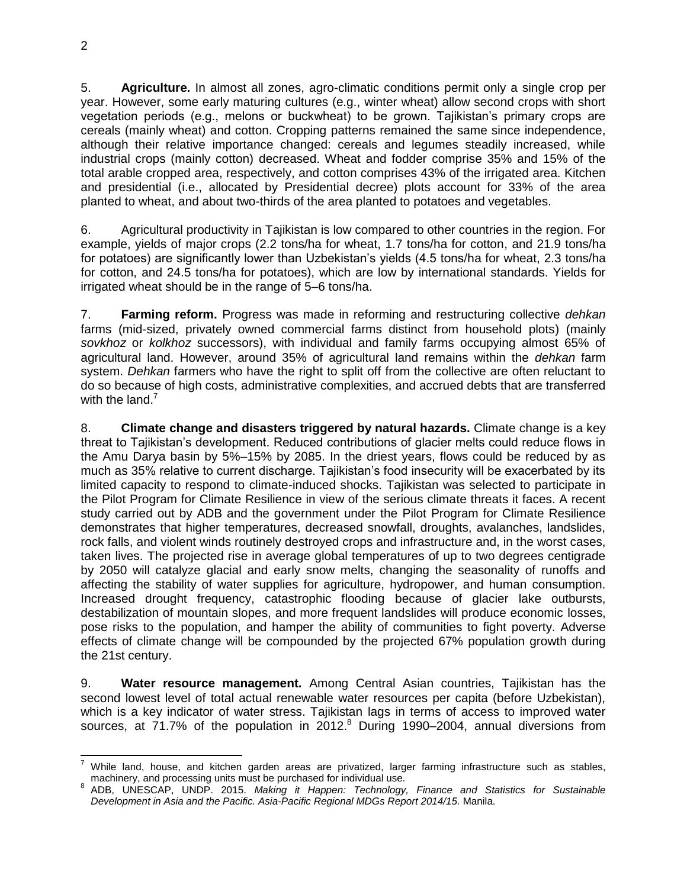5. **Agriculture.** In almost all zones, agro-climatic conditions permit only a single crop per year. However, some early maturing cultures (e.g., winter wheat) allow second crops with short vegetation periods (e.g., melons or buckwheat) to be grown. Tajikistan's primary crops are cereals (mainly wheat) and cotton. Cropping patterns remained the same since independence, although their relative importance changed: cereals and legumes steadily increased, while industrial crops (mainly cotton) decreased. Wheat and fodder comprise 35% and 15% of the total arable cropped area, respectively, and cotton comprises 43% of the irrigated area. Kitchen and presidential (i.e., allocated by Presidential decree) plots account for 33% of the area planted to wheat, and about two-thirds of the area planted to potatoes and vegetables.

6. Agricultural productivity in Tajikistan is low compared to other countries in the region. For example, yields of major crops (2.2 tons/ha for wheat, 1.7 tons/ha for cotton, and 21.9 tons/ha for potatoes) are significantly lower than Uzbekistan's yields (4.5 tons/ha for wheat, 2.3 tons/ha for cotton, and 24.5 tons/ha for potatoes), which are low by international standards. Yields for irrigated wheat should be in the range of 5–6 tons/ha.

7. **Farming reform.** Progress was made in reforming and restructuring collective *dehkan* farms (mid-sized, privately owned commercial farms distinct from household plots) (mainly *sovkhoz* or *kolkhoz* successors), with individual and family farms occupying almost 65% of agricultural land. However, around 35% of agricultural land remains within the *dehkan* farm system. *Dehkan* farmers who have the right to split off from the collective are often reluctant to do so because of high costs, administrative complexities, and accrued debts that are transferred with the land. $<sup>7</sup>$ </sup>

8. **Climate change and disasters triggered by natural hazards.** Climate change is a key threat to Tajikistan's development. Reduced contributions of glacier melts could reduce flows in the Amu Darya basin by 5%–15% by 2085. In the driest years, flows could be reduced by as much as 35% relative to current discharge. Tajikistan's food insecurity will be exacerbated by its limited capacity to respond to climate-induced shocks. Tajikistan was selected to participate in the Pilot Program for Climate Resilience in view of the serious climate threats it faces. A recent study carried out by ADB and the government under the Pilot Program for Climate Resilience demonstrates that higher temperatures, decreased snowfall, droughts, avalanches, landslides, rock falls, and violent winds routinely destroyed crops and infrastructure and, in the worst cases, taken lives. The projected rise in average global temperatures of up to two degrees centigrade by 2050 will catalyze glacial and early snow melts, changing the seasonality of runoffs and affecting the stability of water supplies for agriculture, hydropower, and human consumption. Increased drought frequency, catastrophic flooding because of glacier lake outbursts, destabilization of mountain slopes, and more frequent landslides will produce economic losses, pose risks to the population, and hamper the ability of communities to fight poverty. Adverse effects of climate change will be compounded by the projected 67% population growth during the 21st century.

9. **Water resource management.** Among Central Asian countries, Tajikistan has the second lowest level of total actual renewable water resources per capita (before Uzbekistan), which is a key indicator of water stress. Tajikistan lags in terms of access to improved water sources, at 71.7% of the population in 2012.<sup>8</sup> During 1990–2004, annual diversions from

 $\overline{a}$  $^7$  While land, house, and kitchen garden areas are privatized, larger farming infrastructure such as stables, machinery, and processing units must be purchased for individual use.

<sup>8</sup> ADB, UNESCAP, UNDP. 2015. *Making it Happen: Technology, Finance and Statistics for Sustainable Development in Asia and the Pacific. Asia-Pacific Regional MDGs Report 2014/15.* Manila.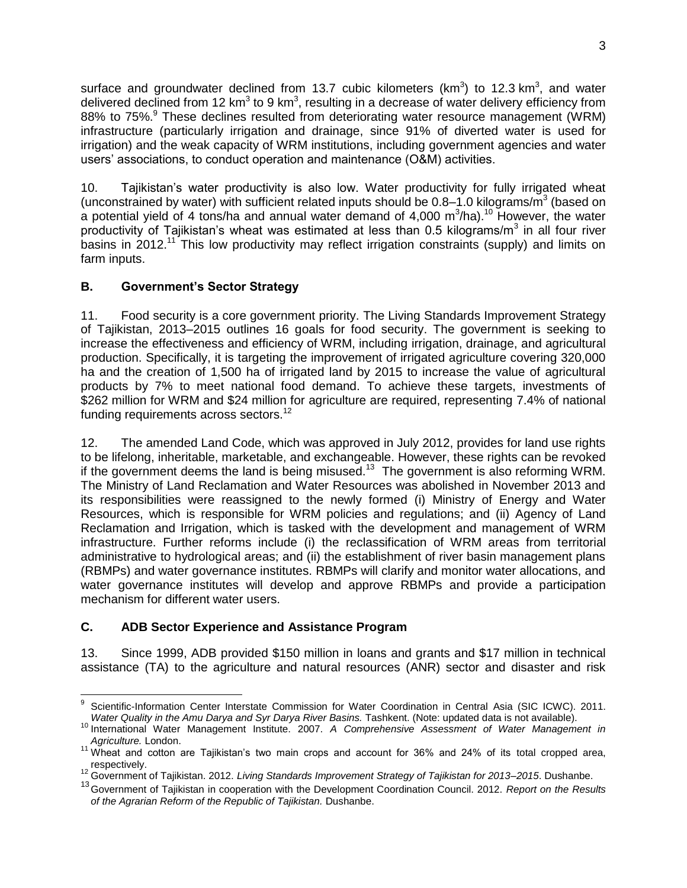surface and groundwater declined from 13.7 cubic kilometers (km<sup>3</sup>) to 12.3 km<sup>3</sup>, and water delivered declined from 12 km<sup>3</sup> to 9 km<sup>3</sup>, resulting in a decrease of water delivery efficiency from 88% to 75%.<sup>9</sup> These declines resulted from deteriorating water resource management (WRM) infrastructure (particularly irrigation and drainage, since 91% of diverted water is used for irrigation) and the weak capacity of WRM institutions, including government agencies and water users' associations, to conduct operation and maintenance (O&M) activities.

10. Tajikistan's water productivity is also low. Water productivity for fully irrigated wheat (unconstrained by water) with sufficient related inputs should be  $0.8-1.0$  kilograms/m<sup>3</sup> (based on a potential yield of 4 tons/ha and annual water demand of 4,000 m<sup>3</sup>/ha).<sup>10</sup> However, the water productivity of Tajikistan's wheat was estimated at less than 0.5 kilograms/m<sup>3</sup> in all four river basins in  $2012$ <sup>11</sup> This low productivity may reflect irrigation constraints (supply) and limits on farm inputs.

# **B. Government's Sector Strategy**

11. Food security is a core government priority. The Living Standards Improvement Strategy of Tajikistan, 2013–2015 outlines 16 goals for food security. The government is seeking to increase the effectiveness and efficiency of WRM, including irrigation, drainage, and agricultural production. Specifically, it is targeting the improvement of irrigated agriculture covering 320,000 ha and the creation of 1,500 ha of irrigated land by 2015 to increase the value of agricultural products by 7% to meet national food demand. To achieve these targets, investments of \$262 million for WRM and \$24 million for agriculture are required, representing 7.4% of national funding requirements across sectors.<sup>12</sup>

12. The amended Land Code, which was approved in July 2012, provides for land use rights to be lifelong, inheritable, marketable, and exchangeable. However, these rights can be revoked if the government deems the land is being misused.<sup>13</sup> The government is also reforming WRM. The Ministry of Land Reclamation and Water Resources was abolished in November 2013 and its responsibilities were reassigned to the newly formed (i) Ministry of Energy and Water Resources, which is responsible for WRM policies and regulations; and (ii) Agency of Land Reclamation and Irrigation, which is tasked with the development and management of WRM infrastructure. Further reforms include (i) the reclassification of WRM areas from territorial administrative to hydrological areas; and (ii) the establishment of river basin management plans (RBMPs) and water governance institutes. RBMPs will clarify and monitor water allocations, and water governance institutes will develop and approve RBMPs and provide a participation mechanism for different water users.

### **C. ADB Sector Experience and Assistance Program**

13. Since 1999, ADB provided \$150 million in loans and grants and \$17 million in technical assistance (TA) to the agriculture and natural resources (ANR) sector and disaster and risk

 9 Scientific-Information Center Interstate Commission for Water Coordination in Central Asia (SIC ICWC). 2011. Water Quality in the Amu Darya and Syr Darya River Basins. Tashkent. (Note: updated data is not available).

<sup>10</sup> International Water Management Institute. 2007. *A Comprehensive Assessment of Water Management in Agriculture.* London.

<sup>11</sup> Wheat and cotton are Tajikistan's two main crops and account for 36% and 24% of its total cropped area, respectively.

<sup>12</sup> Government of Tajikistan. 2012. *Living Standards Improvement Strategy of Tajikistan for 2013*–*2015*. Dushanbe.

<sup>13</sup>Government of Tajikistan in cooperation with the Development Coordination Council. 2012. *Report on the Results of the Agrarian Reform of the Republic of Tajikistan.* Dushanbe.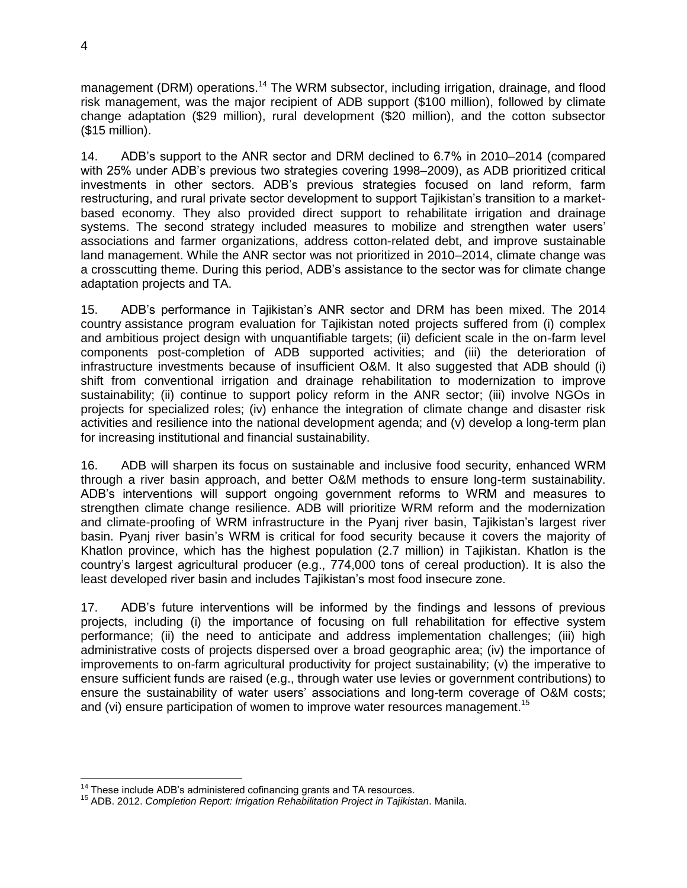management (DRM) operations.<sup>14</sup> The WRM subsector, including irrigation, drainage, and flood risk management, was the major recipient of ADB support (\$100 million), followed by climate change adaptation (\$29 million), rural development (\$20 million), and the cotton subsector (\$15 million).

14. ADB's support to the ANR sector and DRM declined to 6.7% in 2010–2014 (compared with 25% under ADB's previous two strategies covering 1998–2009), as ADB prioritized critical investments in other sectors. ADB's previous strategies focused on land reform, farm restructuring, and rural private sector development to support Tajikistan's transition to a marketbased economy. They also provided direct support to rehabilitate irrigation and drainage systems. The second strategy included measures to mobilize and strengthen water users' associations and farmer organizations, address cotton-related debt, and improve sustainable land management. While the ANR sector was not prioritized in 2010–2014, climate change was a crosscutting theme. During this period, ADB's assistance to the sector was for climate change adaptation projects and TA.

15. ADB's performance in Tajikistan's ANR sector and DRM has been mixed. The 2014 country assistance program evaluation for Tajikistan noted projects suffered from (i) complex and ambitious project design with unquantifiable targets; (ii) deficient scale in the on-farm level components post-completion of ADB supported activities; and (iii) the deterioration of infrastructure investments because of insufficient O&M. It also suggested that ADB should (i) shift from conventional irrigation and drainage rehabilitation to modernization to improve sustainability; (ii) continue to support policy reform in the ANR sector; (iii) involve NGOs in projects for specialized roles; (iv) enhance the integration of climate change and disaster risk activities and resilience into the national development agenda; and (v) develop a long-term plan for increasing institutional and financial sustainability.

16. ADB will sharpen its focus on sustainable and inclusive food security, enhanced WRM through a river basin approach, and better O&M methods to ensure long-term sustainability. ADB's interventions will support ongoing government reforms to WRM and measures to strengthen climate change resilience. ADB will prioritize WRM reform and the modernization and climate-proofing of WRM infrastructure in the Pyanj river basin, Tajikistan's largest river basin. Pyanj river basin's WRM is critical for food security because it covers the majority of Khatlon province, which has the highest population (2.7 million) in Tajikistan. Khatlon is the country's largest agricultural producer (e.g., 774,000 tons of cereal production). It is also the least developed river basin and includes Tajikistan's most food insecure zone.

17. ADB's future interventions will be informed by the findings and lessons of previous projects, including (i) the importance of focusing on full rehabilitation for effective system performance; (ii) the need to anticipate and address implementation challenges; (iii) high administrative costs of projects dispersed over a broad geographic area; (iv) the importance of improvements to on-farm agricultural productivity for project sustainability; (v) the imperative to ensure sufficient funds are raised (e.g., through water use levies or government contributions) to ensure the sustainability of water users' associations and long-term coverage of O&M costs; and (vi) ensure participation of women to improve water resources management.<sup>15</sup>

 $\overline{a}$  $14$  These include ADB's administered cofinancing grants and TA resources.

<sup>15</sup> ADB. 2012. *Completion Report: Irrigation Rehabilitation Project in Tajikistan*. Manila.